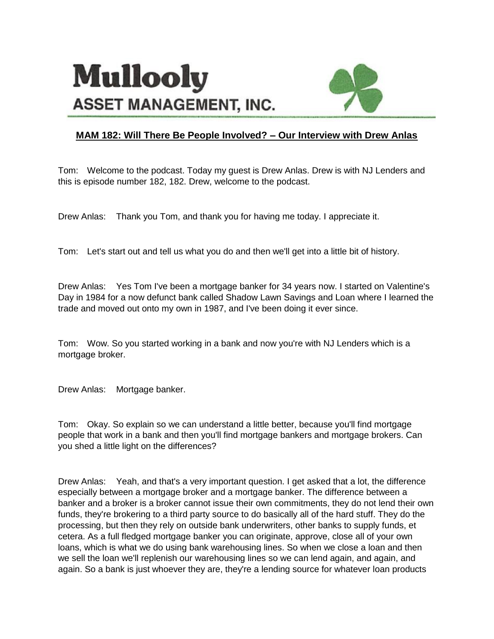## **Mullooly ASSET MANAGEMENT, INC.**



## **MAM 182: Will There Be People Involved? – Our Interview with Drew Anlas**

Tom: Welcome to the podcast. Today my guest is Drew Anlas. Drew is with NJ Lenders and this is episode number 182, 182. Drew, welcome to the podcast.

Drew Anlas: Thank you Tom, and thank you for having me today. I appreciate it.

Tom: Let's start out and tell us what you do and then we'll get into a little bit of history.

Drew Anlas: Yes Tom I've been a mortgage banker for 34 years now. I started on Valentine's Day in 1984 for a now defunct bank called Shadow Lawn Savings and Loan where I learned the trade and moved out onto my own in 1987, and I've been doing it ever since.

Tom: Wow. So you started working in a bank and now you're with NJ Lenders which is a mortgage broker.

Drew Anlas: Mortgage banker.

Tom: Okay. So explain so we can understand a little better, because you'll find mortgage people that work in a bank and then you'll find mortgage bankers and mortgage brokers. Can you shed a little light on the differences?

Drew Anlas: Yeah, and that's a very important question. I get asked that a lot, the difference especially between a mortgage broker and a mortgage banker. The difference between a banker and a broker is a broker cannot issue their own commitments, they do not lend their own funds, they're brokering to a third party source to do basically all of the hard stuff. They do the processing, but then they rely on outside bank underwriters, other banks to supply funds, et cetera. As a full fledged mortgage banker you can originate, approve, close all of your own loans, which is what we do using bank warehousing lines. So when we close a loan and then we sell the loan we'll replenish our warehousing lines so we can lend again, and again, and again. So a bank is just whoever they are, they're a lending source for whatever loan products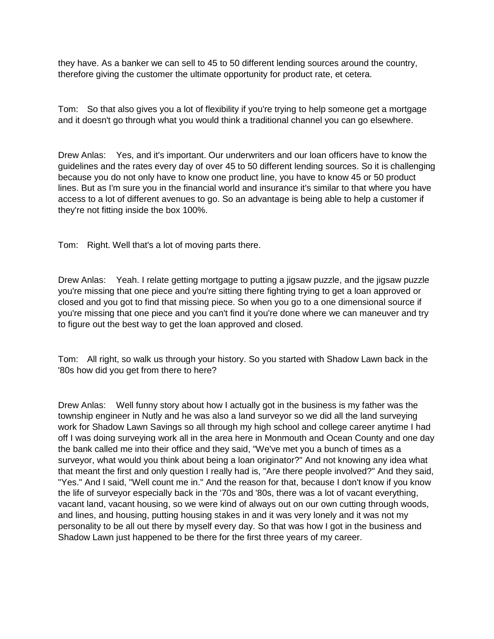they have. As a banker we can sell to 45 to 50 different lending sources around the country, therefore giving the customer the ultimate opportunity for product rate, et cetera.

Tom: So that also gives you a lot of flexibility if you're trying to help someone get a mortgage and it doesn't go through what you would think a traditional channel you can go elsewhere.

Drew Anlas: Yes, and it's important. Our underwriters and our loan officers have to know the guidelines and the rates every day of over 45 to 50 different lending sources. So it is challenging because you do not only have to know one product line, you have to know 45 or 50 product lines. But as I'm sure you in the financial world and insurance it's similar to that where you have access to a lot of different avenues to go. So an advantage is being able to help a customer if they're not fitting inside the box 100%.

Tom: Right. Well that's a lot of moving parts there.

Drew Anlas: Yeah. I relate getting mortgage to putting a jigsaw puzzle, and the jigsaw puzzle you're missing that one piece and you're sitting there fighting trying to get a loan approved or closed and you got to find that missing piece. So when you go to a one dimensional source if you're missing that one piece and you can't find it you're done where we can maneuver and try to figure out the best way to get the loan approved and closed.

Tom: All right, so walk us through your history. So you started with Shadow Lawn back in the '80s how did you get from there to here?

Drew Anlas: Well funny story about how I actually got in the business is my father was the township engineer in Nutly and he was also a land surveyor so we did all the land surveying work for Shadow Lawn Savings so all through my high school and college career anytime I had off I was doing surveying work all in the area here in Monmouth and Ocean County and one day the bank called me into their office and they said, "We've met you a bunch of times as a surveyor, what would you think about being a loan originator?" And not knowing any idea what that meant the first and only question I really had is, "Are there people involved?" And they said, "Yes." And I said, "Well count me in." And the reason for that, because I don't know if you know the life of surveyor especially back in the '70s and '80s, there was a lot of vacant everything, vacant land, vacant housing, so we were kind of always out on our own cutting through woods, and lines, and housing, putting housing stakes in and it was very lonely and it was not my personality to be all out there by myself every day. So that was how I got in the business and Shadow Lawn just happened to be there for the first three years of my career.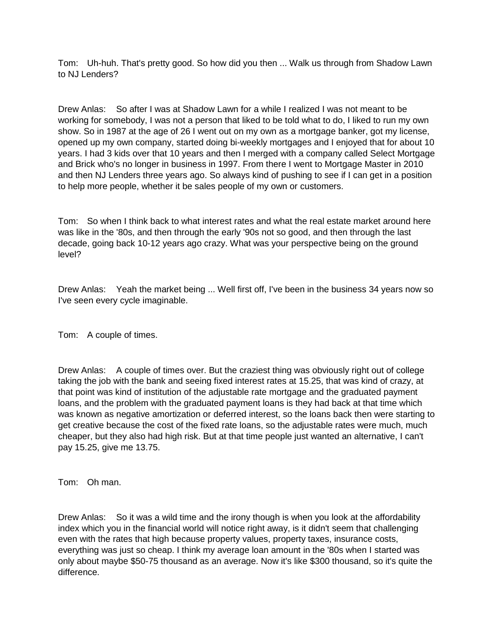Tom: Uh-huh. That's pretty good. So how did you then ... Walk us through from Shadow Lawn to NJ Lenders?

Drew Anlas: So after I was at Shadow Lawn for a while I realized I was not meant to be working for somebody, I was not a person that liked to be told what to do, I liked to run my own show. So in 1987 at the age of 26 I went out on my own as a mortgage banker, got my license, opened up my own company, started doing bi-weekly mortgages and I enjoyed that for about 10 years. I had 3 kids over that 10 years and then I merged with a company called Select Mortgage and Brick who's no longer in business in 1997. From there I went to Mortgage Master in 2010 and then NJ Lenders three years ago. So always kind of pushing to see if I can get in a position to help more people, whether it be sales people of my own or customers.

Tom: So when I think back to what interest rates and what the real estate market around here was like in the '80s, and then through the early '90s not so good, and then through the last decade, going back 10-12 years ago crazy. What was your perspective being on the ground level?

Drew Anlas: Yeah the market being ... Well first off, I've been in the business 34 years now so I've seen every cycle imaginable.

Tom: A couple of times.

Drew Anlas: A couple of times over. But the craziest thing was obviously right out of college taking the job with the bank and seeing fixed interest rates at 15.25, that was kind of crazy, at that point was kind of institution of the adjustable rate mortgage and the graduated payment loans, and the problem with the graduated payment loans is they had back at that time which was known as negative amortization or deferred interest, so the loans back then were starting to get creative because the cost of the fixed rate loans, so the adjustable rates were much, much cheaper, but they also had high risk. But at that time people just wanted an alternative, I can't pay 15.25, give me 13.75.

Tom: Oh man.

Drew Anlas: So it was a wild time and the irony though is when you look at the affordability index which you in the financial world will notice right away, is it didn't seem that challenging even with the rates that high because property values, property taxes, insurance costs, everything was just so cheap. I think my average loan amount in the '80s when I started was only about maybe \$50-75 thousand as an average. Now it's like \$300 thousand, so it's quite the difference.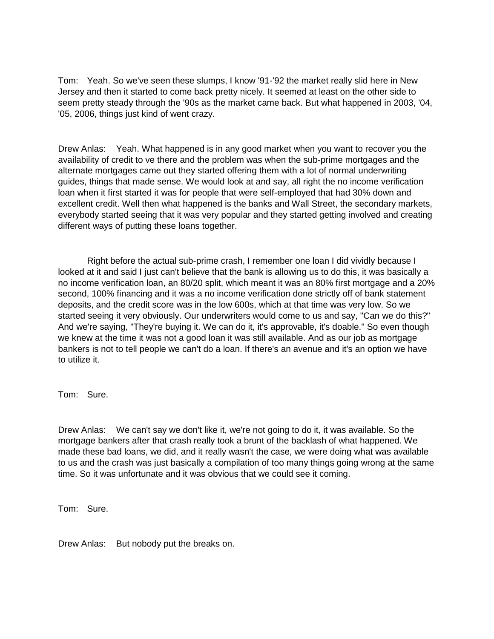Tom: Yeah. So we've seen these slumps, I know '91-'92 the market really slid here in New Jersey and then it started to come back pretty nicely. It seemed at least on the other side to seem pretty steady through the '90s as the market came back. But what happened in 2003, '04, '05, 2006, things just kind of went crazy.

Drew Anlas: Yeah. What happened is in any good market when you want to recover you the availability of credit to ve there and the problem was when the sub-prime mortgages and the alternate mortgages came out they started offering them with a lot of normal underwriting guides, things that made sense. We would look at and say, all right the no income verification loan when it first started it was for people that were self-employed that had 30% down and excellent credit. Well then what happened is the banks and Wall Street, the secondary markets, everybody started seeing that it was very popular and they started getting involved and creating different ways of putting these loans together.

Right before the actual sub-prime crash, I remember one loan I did vividly because I looked at it and said I just can't believe that the bank is allowing us to do this, it was basically a no income verification loan, an 80/20 split, which meant it was an 80% first mortgage and a 20% second, 100% financing and it was a no income verification done strictly off of bank statement deposits, and the credit score was in the low 600s, which at that time was very low. So we started seeing it very obviously. Our underwriters would come to us and say, "Can we do this?" And we're saying, "They're buying it. We can do it, it's approvable, it's doable." So even though we knew at the time it was not a good loan it was still available. And as our job as mortgage bankers is not to tell people we can't do a loan. If there's an avenue and it's an option we have to utilize it.

Tom: Sure.

Drew Anlas: We can't say we don't like it, we're not going to do it, it was available. So the mortgage bankers after that crash really took a brunt of the backlash of what happened. We made these bad loans, we did, and it really wasn't the case, we were doing what was available to us and the crash was just basically a compilation of too many things going wrong at the same time. So it was unfortunate and it was obvious that we could see it coming.

Tom: Sure.

Drew Anlas: But nobody put the breaks on.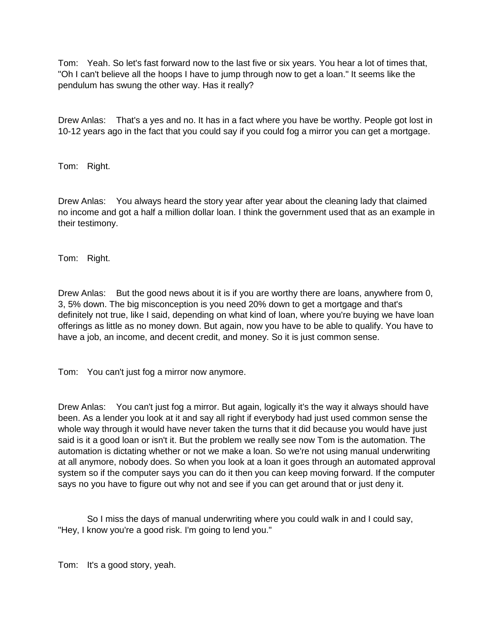Tom: Yeah. So let's fast forward now to the last five or six years. You hear a lot of times that, "Oh I can't believe all the hoops I have to jump through now to get a loan." It seems like the pendulum has swung the other way. Has it really?

Drew Anlas: That's a yes and no. It has in a fact where you have be worthy. People got lost in 10-12 years ago in the fact that you could say if you could fog a mirror you can get a mortgage.

Tom: Right.

Drew Anlas: You always heard the story year after year about the cleaning lady that claimed no income and got a half a million dollar loan. I think the government used that as an example in their testimony.

Tom: Right.

Drew Anlas: But the good news about it is if you are worthy there are loans, anywhere from 0, 3, 5% down. The big misconception is you need 20% down to get a mortgage and that's definitely not true, like I said, depending on what kind of loan, where you're buying we have loan offerings as little as no money down. But again, now you have to be able to qualify. You have to have a job, an income, and decent credit, and money. So it is just common sense.

Tom: You can't just fog a mirror now anymore.

Drew Anlas: You can't just fog a mirror. But again, logically it's the way it always should have been. As a lender you look at it and say all right if everybody had just used common sense the whole way through it would have never taken the turns that it did because you would have just said is it a good loan or isn't it. But the problem we really see now Tom is the automation. The automation is dictating whether or not we make a loan. So we're not using manual underwriting at all anymore, nobody does. So when you look at a loan it goes through an automated approval system so if the computer says you can do it then you can keep moving forward. If the computer says no you have to figure out why not and see if you can get around that or just deny it.

So I miss the days of manual underwriting where you could walk in and I could say, "Hey, I know you're a good risk. I'm going to lend you."

Tom: It's a good story, yeah.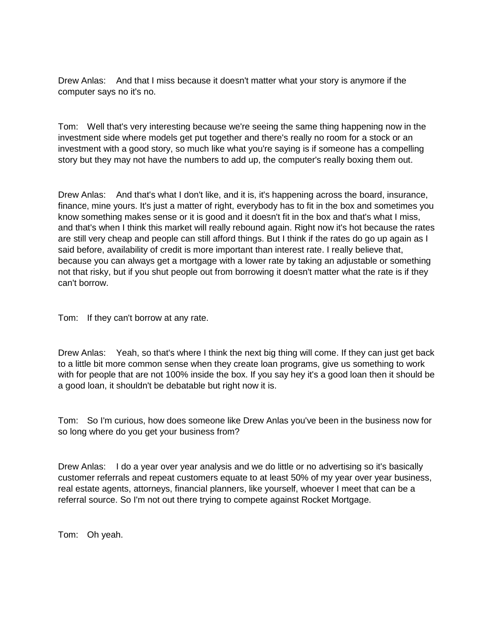Drew Anlas: And that I miss because it doesn't matter what your story is anymore if the computer says no it's no.

Tom: Well that's very interesting because we're seeing the same thing happening now in the investment side where models get put together and there's really no room for a stock or an investment with a good story, so much like what you're saying is if someone has a compelling story but they may not have the numbers to add up, the computer's really boxing them out.

Drew Anlas: And that's what I don't like, and it is, it's happening across the board, insurance, finance, mine yours. It's just a matter of right, everybody has to fit in the box and sometimes you know something makes sense or it is good and it doesn't fit in the box and that's what I miss, and that's when I think this market will really rebound again. Right now it's hot because the rates are still very cheap and people can still afford things. But I think if the rates do go up again as I said before, availability of credit is more important than interest rate. I really believe that, because you can always get a mortgage with a lower rate by taking an adjustable or something not that risky, but if you shut people out from borrowing it doesn't matter what the rate is if they can't borrow.

Tom: If they can't borrow at any rate.

Drew Anlas: Yeah, so that's where I think the next big thing will come. If they can just get back to a little bit more common sense when they create loan programs, give us something to work with for people that are not 100% inside the box. If you say hey it's a good loan then it should be a good loan, it shouldn't be debatable but right now it is.

Tom: So I'm curious, how does someone like Drew Anlas you've been in the business now for so long where do you get your business from?

Drew Anlas: I do a year over year analysis and we do little or no advertising so it's basically customer referrals and repeat customers equate to at least 50% of my year over year business, real estate agents, attorneys, financial planners, like yourself, whoever I meet that can be a referral source. So I'm not out there trying to compete against Rocket Mortgage.

Tom: Oh yeah.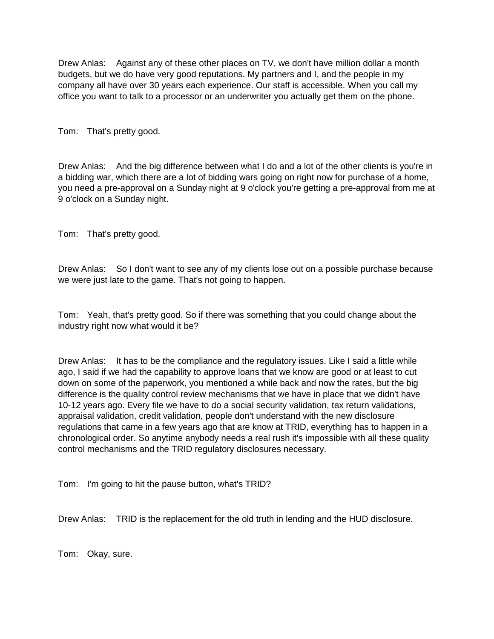Drew Anlas: Against any of these other places on TV, we don't have million dollar a month budgets, but we do have very good reputations. My partners and I, and the people in my company all have over 30 years each experience. Our staff is accessible. When you call my office you want to talk to a processor or an underwriter you actually get them on the phone.

Tom: That's pretty good.

Drew Anlas: And the big difference between what I do and a lot of the other clients is you're in a bidding war, which there are a lot of bidding wars going on right now for purchase of a home, you need a pre-approval on a Sunday night at 9 o'clock you're getting a pre-approval from me at 9 o'clock on a Sunday night.

Tom: That's pretty good.

Drew Anlas: So I don't want to see any of my clients lose out on a possible purchase because we were just late to the game. That's not going to happen.

Tom: Yeah, that's pretty good. So if there was something that you could change about the industry right now what would it be?

Drew Anlas: It has to be the compliance and the regulatory issues. Like I said a little while ago, I said if we had the capability to approve loans that we know are good or at least to cut down on some of the paperwork, you mentioned a while back and now the rates, but the big difference is the quality control review mechanisms that we have in place that we didn't have 10-12 years ago. Every file we have to do a social security validation, tax return validations, appraisal validation, credit validation, people don't understand with the new disclosure regulations that came in a few years ago that are know at TRID, everything has to happen in a chronological order. So anytime anybody needs a real rush it's impossible with all these quality control mechanisms and the TRID regulatory disclosures necessary.

Tom: I'm going to hit the pause button, what's TRID?

Drew Anlas: TRID is the replacement for the old truth in lending and the HUD disclosure.

Tom: Okay, sure.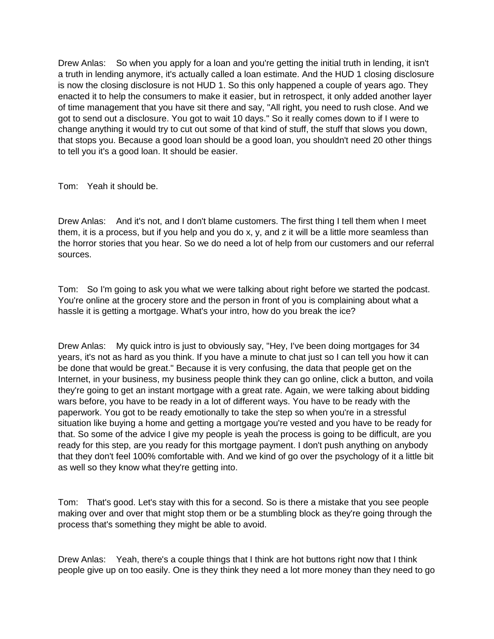Drew Anlas: So when you apply for a loan and you're getting the initial truth in lending, it isn't a truth in lending anymore, it's actually called a loan estimate. And the HUD 1 closing disclosure is now the closing disclosure is not HUD 1. So this only happened a couple of years ago. They enacted it to help the consumers to make it easier, but in retrospect, it only added another layer of time management that you have sit there and say, "All right, you need to rush close. And we got to send out a disclosure. You got to wait 10 days." So it really comes down to if I were to change anything it would try to cut out some of that kind of stuff, the stuff that slows you down, that stops you. Because a good loan should be a good loan, you shouldn't need 20 other things to tell you it's a good loan. It should be easier.

Tom: Yeah it should be.

Drew Anlas: And it's not, and I don't blame customers. The first thing I tell them when I meet them, it is a process, but if you help and you do x, y, and z it will be a little more seamless than the horror stories that you hear. So we do need a lot of help from our customers and our referral sources.

Tom: So I'm going to ask you what we were talking about right before we started the podcast. You're online at the grocery store and the person in front of you is complaining about what a hassle it is getting a mortgage. What's your intro, how do you break the ice?

Drew Anlas: My quick intro is just to obviously say, "Hey, I've been doing mortgages for 34 years, it's not as hard as you think. If you have a minute to chat just so I can tell you how it can be done that would be great." Because it is very confusing, the data that people get on the Internet, in your business, my business people think they can go online, click a button, and voila they're going to get an instant mortgage with a great rate. Again, we were talking about bidding wars before, you have to be ready in a lot of different ways. You have to be ready with the paperwork. You got to be ready emotionally to take the step so when you're in a stressful situation like buying a home and getting a mortgage you're vested and you have to be ready for that. So some of the advice I give my people is yeah the process is going to be difficult, are you ready for this step, are you ready for this mortgage payment. I don't push anything on anybody that they don't feel 100% comfortable with. And we kind of go over the psychology of it a little bit as well so they know what they're getting into.

Tom: That's good. Let's stay with this for a second. So is there a mistake that you see people making over and over that might stop them or be a stumbling block as they're going through the process that's something they might be able to avoid.

Drew Anlas: Yeah, there's a couple things that I think are hot buttons right now that I think people give up on too easily. One is they think they need a lot more money than they need to go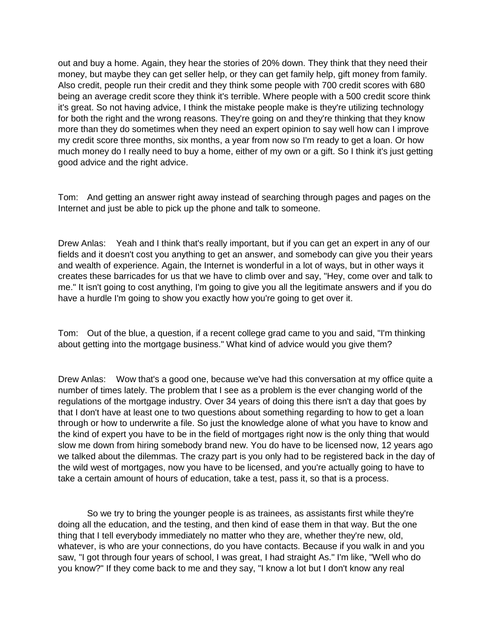out and buy a home. Again, they hear the stories of 20% down. They think that they need their money, but maybe they can get seller help, or they can get family help, gift money from family. Also credit, people run their credit and they think some people with 700 credit scores with 680 being an average credit score they think it's terrible. Where people with a 500 credit score think it's great. So not having advice, I think the mistake people make is they're utilizing technology for both the right and the wrong reasons. They're going on and they're thinking that they know more than they do sometimes when they need an expert opinion to say well how can I improve my credit score three months, six months, a year from now so I'm ready to get a loan. Or how much money do I really need to buy a home, either of my own or a gift. So I think it's just getting good advice and the right advice.

Tom: And getting an answer right away instead of searching through pages and pages on the Internet and just be able to pick up the phone and talk to someone.

Drew Anlas: Yeah and I think that's really important, but if you can get an expert in any of our fields and it doesn't cost you anything to get an answer, and somebody can give you their years and wealth of experience. Again, the Internet is wonderful in a lot of ways, but in other ways it creates these barricades for us that we have to climb over and say, "Hey, come over and talk to me." It isn't going to cost anything, I'm going to give you all the legitimate answers and if you do have a hurdle I'm going to show you exactly how you're going to get over it.

Tom: Out of the blue, a question, if a recent college grad came to you and said, "I'm thinking about getting into the mortgage business." What kind of advice would you give them?

Drew Anlas: Wow that's a good one, because we've had this conversation at my office quite a number of times lately. The problem that I see as a problem is the ever changing world of the regulations of the mortgage industry. Over 34 years of doing this there isn't a day that goes by that I don't have at least one to two questions about something regarding to how to get a loan through or how to underwrite a file. So just the knowledge alone of what you have to know and the kind of expert you have to be in the field of mortgages right now is the only thing that would slow me down from hiring somebody brand new. You do have to be licensed now, 12 years ago we talked about the dilemmas. The crazy part is you only had to be registered back in the day of the wild west of mortgages, now you have to be licensed, and you're actually going to have to take a certain amount of hours of education, take a test, pass it, so that is a process.

So we try to bring the younger people is as trainees, as assistants first while they're doing all the education, and the testing, and then kind of ease them in that way. But the one thing that I tell everybody immediately no matter who they are, whether they're new, old, whatever, is who are your connections, do you have contacts. Because if you walk in and you saw, "I got through four years of school, I was great, I had straight As." I'm like, "Well who do you know?" If they come back to me and they say, "I know a lot but I don't know any real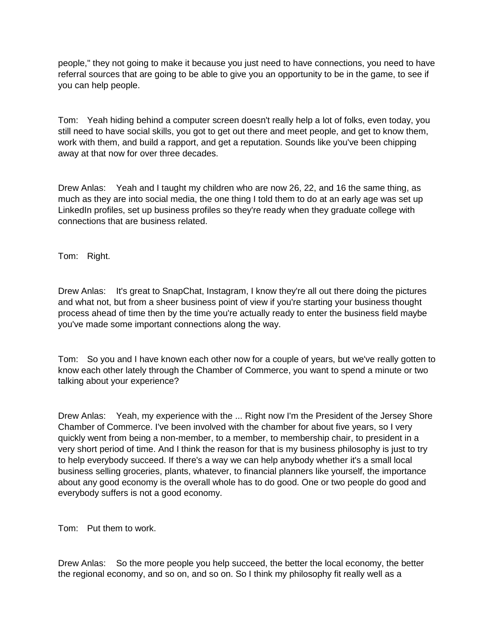people," they not going to make it because you just need to have connections, you need to have referral sources that are going to be able to give you an opportunity to be in the game, to see if you can help people.

Tom: Yeah hiding behind a computer screen doesn't really help a lot of folks, even today, you still need to have social skills, you got to get out there and meet people, and get to know them, work with them, and build a rapport, and get a reputation. Sounds like you've been chipping away at that now for over three decades.

Drew Anlas: Yeah and I taught my children who are now 26, 22, and 16 the same thing, as much as they are into social media, the one thing I told them to do at an early age was set up LinkedIn profiles, set up business profiles so they're ready when they graduate college with connections that are business related.

Tom: Right.

Drew Anlas: It's great to SnapChat, Instagram, I know they're all out there doing the pictures and what not, but from a sheer business point of view if you're starting your business thought process ahead of time then by the time you're actually ready to enter the business field maybe you've made some important connections along the way.

Tom: So you and I have known each other now for a couple of years, but we've really gotten to know each other lately through the Chamber of Commerce, you want to spend a minute or two talking about your experience?

Drew Anlas: Yeah, my experience with the ... Right now I'm the President of the Jersey Shore Chamber of Commerce. I've been involved with the chamber for about five years, so I very quickly went from being a non-member, to a member, to membership chair, to president in a very short period of time. And I think the reason for that is my business philosophy is just to try to help everybody succeed. If there's a way we can help anybody whether it's a small local business selling groceries, plants, whatever, to financial planners like yourself, the importance about any good economy is the overall whole has to do good. One or two people do good and everybody suffers is not a good economy.

Tom: Put them to work.

Drew Anlas: So the more people you help succeed, the better the local economy, the better the regional economy, and so on, and so on. So I think my philosophy fit really well as a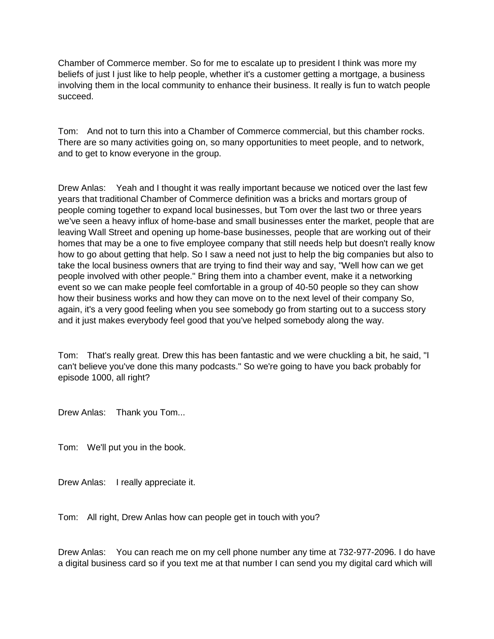Chamber of Commerce member. So for me to escalate up to president I think was more my beliefs of just I just like to help people, whether it's a customer getting a mortgage, a business involving them in the local community to enhance their business. It really is fun to watch people succeed.

Tom: And not to turn this into a Chamber of Commerce commercial, but this chamber rocks. There are so many activities going on, so many opportunities to meet people, and to network, and to get to know everyone in the group.

Drew Anlas: Yeah and I thought it was really important because we noticed over the last few years that traditional Chamber of Commerce definition was a bricks and mortars group of people coming together to expand local businesses, but Tom over the last two or three years we've seen a heavy influx of home-base and small businesses enter the market, people that are leaving Wall Street and opening up home-base businesses, people that are working out of their homes that may be a one to five employee company that still needs help but doesn't really know how to go about getting that help. So I saw a need not just to help the big companies but also to take the local business owners that are trying to find their way and say, "Well how can we get people involved with other people." Bring them into a chamber event, make it a networking event so we can make people feel comfortable in a group of 40-50 people so they can show how their business works and how they can move on to the next level of their company So, again, it's a very good feeling when you see somebody go from starting out to a success story and it just makes everybody feel good that you've helped somebody along the way.

Tom: That's really great. Drew this has been fantastic and we were chuckling a bit, he said, "I can't believe you've done this many podcasts." So we're going to have you back probably for episode 1000, all right?

Drew Anlas: Thank you Tom...

Tom: We'll put you in the book.

Drew Anlas: I really appreciate it.

Tom: All right, Drew Anlas how can people get in touch with you?

Drew Anlas: You can reach me on my cell phone number any time at 732-977-2096. I do have a digital business card so if you text me at that number I can send you my digital card which will